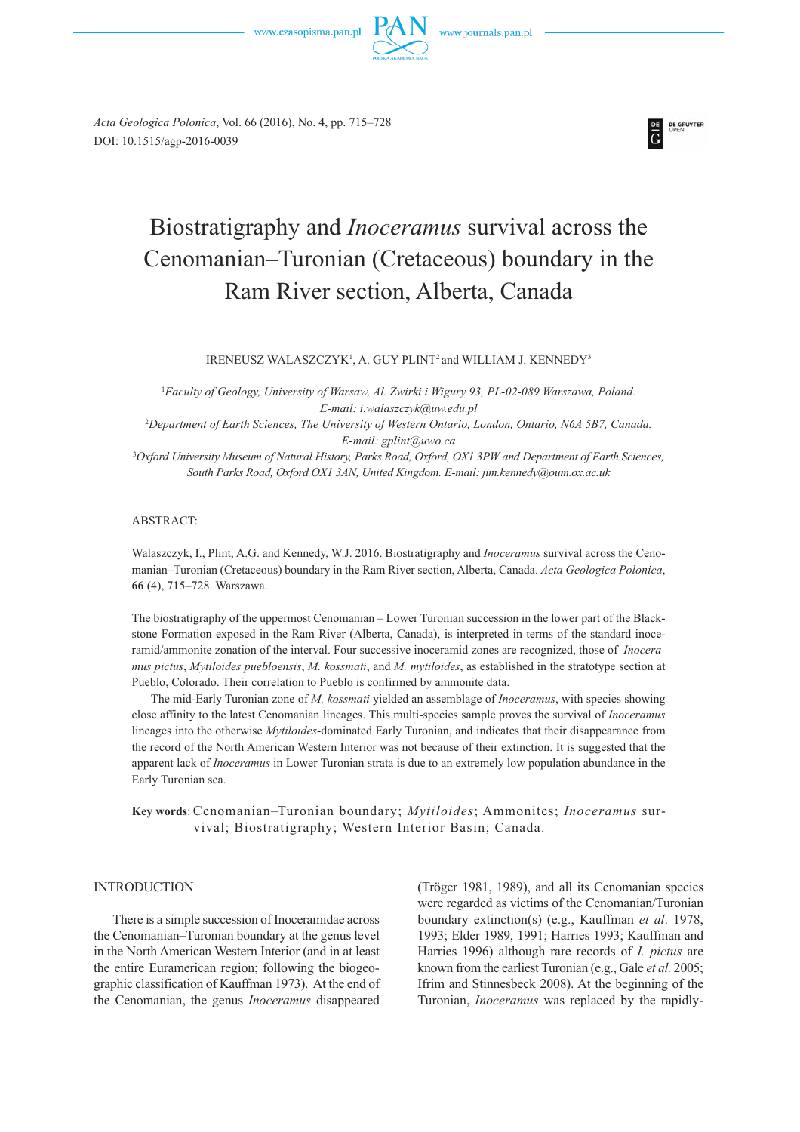

# Biostratigraphy and *Inoceramus* survival across the Cenomanian–Turonian (Cretaceous) boundary in the Ram River section, Alberta, Canada

# IRENEUSZ WALASZCZYK1 , A. GUY PLINT2 and WILLIAM J. KENNEDY3

1 *Faculty of Geology, University of Warsaw, Al. Żwirki i Wigury 93, PL-02-089 Warszawa, Poland. E-mail: i.walaszczyk@uw.edu.pl* 2 *Department of Earth Sciences, The University of Western Ontario, London, Ontario, N6A 5B7, Canada. E-mail: gplint@uwo.ca* 3 *Oxford University Museum of Natural History, Parks Road, Oxford, OX1 3PW and Department of Earth Sciences, South Parks Road, Oxford OX1 3AN, United Kingdom. E-mail: jim.kennedy@oum.ox.ac.uk*

# ABSTRACT:

Walaszczyk, I., Plint, A.G. and Kennedy, W.J. 2016. Biostratigraphy and *Inoceramus* survival across the Cenomanian–Turonian (Cretaceous) boundary in the Ram River section, Alberta, Canada. *Acta Geologica Polonica*, **66** (4), 715–728. Warszawa.

The biostratigraphy of the uppermost Cenomanian – Lower Turonian succession in the lower part of the Blackstone Formation exposed in the Ram River (Alberta, Canada), is interpreted in terms of the standard inoceramid/ammonite zonation of the interval. Four successive inoceramid zones are recognized, those of *Inoceramus pictus*, *Mytiloides puebloensis*, *M. kossmati*, and *M. mytiloides*, as established in the stratotype section at Pueblo, Colorado. Their correlation to Pueblo is confirmed by ammonite data.

The mid-Early Turonian zone of *M. kossmati* yielded an assemblage of *Inoceramus*, with species showing close affinity to the latest Cenomanian lineages. This multi-species sample proves the survival of *Inoceramus* lineages into the otherwise *Mytiloides*-dominated Early Turonian, and indicates that their disappearance from the record of the North American Western Interior was not because of their extinction. It is suggested that the apparent lack of *Inoceramus* in Lower Turonian strata is due to an extremely low population abundance in the Early Turonian sea.

**Key words**: Cenomanian–Turonian boundary; *Mytiloides*; Ammonites; *Inoceramus* survival; Biostratigraphy; Western Interior Basin; Canada.

# INTRODUCTION

There is a simple succession of Inoceramidae across the Cenomanian–Turonian boundary at the genus level in the North American Western Interior (and in at least the entire Euramerican region; following the biogeographic classification of Kauffman 1973). At the end of the Cenomanian, the genus *Inoceramus* disappeared (Tröger 1981, 1989), and all its Cenomanian species were regarded as victims of the Cenomanian/Turonian boundary extinction(s) (e.g., Kauffman *et al*. 1978, 1993; Elder 1989, 1991; Harries 1993; Kauffman and Harries 1996) although rare records of *I. pictus* are known from the earliest Turonian (e.g., Gale *et al.* 2005; Ifrim and Stinnesbeck 2008). At the beginning of the Turonian, *Inoceramus* was replaced by the rapidly-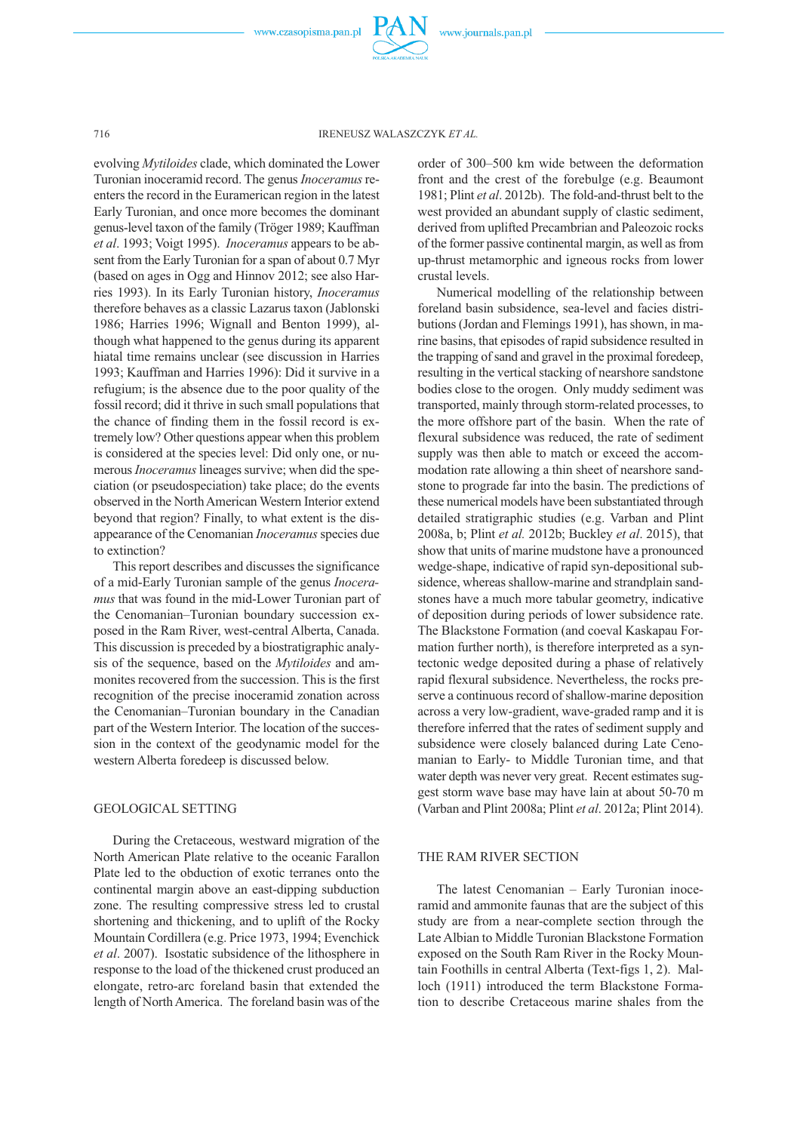

716 IRENEUSZ WALASZCZYK *ET AL.*

evolving *Mytiloides* clade, which dominated the Lower Turonian inoceramid record. The genus *Inoceramus*reenters the record in the Euramerican region in the latest Early Turonian, and once more becomes the dominant genus-level taxon of the family (Tröger 1989; Kauffman *et al*. 1993; Voigt 1995). *Inoceramus* appears to be absent from the Early Turonian for a span of about 0.7 Myr (based on ages in Ogg and Hinnov 2012; see also Harries 1993). In its Early Turonian history, *Inoceramus* therefore behaves as a classic Lazarus taxon (Jablonski 1986; Harries 1996; Wignall and Benton 1999), although what happened to the genus during its apparent hiatal time remains unclear (see discussion in Harries 1993; Kauffman and Harries 1996): Did it survive in a refugium; is the absence due to the poor quality of the fossil record; did it thrive in such small populations that the chance of finding them in the fossil record is extremely low? Other questions appear when this problem is considered at the species level: Did only one, or numerous *Inoceramus* lineages survive; when did the speciation (or pseudospeciation) take place; do the events observed in the North American Western Interior extend beyond that region? Finally, to what extent is the disappearance of the Cenomanian *Inoceramus*species due to extinction?

This report describes and discusses the significance of a mid-Early Turonian sample of the genus *Inoceramus* that was found in the mid-Lower Turonian part of the Cenomanian–Turonian boundary succession exposed in the Ram River, west-central Alberta, Canada. This discussion is preceded by a biostratigraphic analysis of the sequence, based on the *Mytiloides* and ammonites recovered from the succession. This is the first recognition of the precise inoceramid zonation across the Cenomanian–Turonian boundary in the Canadian part of the Western Interior. The location of the succession in the context of the geodynamic model for the western Alberta foredeep is discussed below.

### GEOLOGICAL SETTING

During the Cretaceous, westward migration of the North American Plate relative to the oceanic Farallon Plate led to the obduction of exotic terranes onto the continental margin above an east-dipping subduction zone. The resulting compressive stress led to crustal shortening and thickening, and to uplift of the Rocky Mountain Cordillera (e.g. Price 1973, 1994; Evenchick *et al*. 2007). Isostatic subsidence of the lithosphere in response to the load of the thickened crust produced an elongate, retro-arc foreland basin that extended the length of North America. The foreland basin was of the order of 300–500 km wide between the deformation front and the crest of the forebulge (e.g. Beaumont 1981; Plint *et al*. 2012b). The fold-and-thrust belt to the west provided an abundant supply of clastic sediment, derived from uplifted Precambrian and Paleozoic rocks of the former passive continental margin, as well as from up-thrust metamorphic and igneous rocks from lower crustal levels.

Numerical modelling of the relationship between foreland basin subsidence, sea-level and facies distributions (Jordan and Flemings 1991), has shown, in marine basins, that episodes of rapid subsidence resulted in the trapping of sand and gravel in the proximal foredeep, resulting in the vertical stacking of nearshore sandstone bodies close to the orogen. Only muddy sediment was transported, mainly through storm-related processes, to the more offshore part of the basin. When the rate of flexural subsidence was reduced, the rate of sediment supply was then able to match or exceed the accommodation rate allowing a thin sheet of nearshore sandstone to prograde far into the basin. The predictions of these numerical models have been substantiated through detailed stratigraphic studies (e.g. Varban and Plint 2008a, b; Plint *et al.* 2012b; Buckley *et al*. 2015), that show that units of marine mudstone have a pronounced wedge-shape, indicative of rapid syn-depositional subsidence, whereas shallow-marine and strandplain sandstones have a much more tabular geometry, indicative of deposition during periods of lower subsidence rate. The Blackstone Formation (and coeval Kaskapau Formation further north), is therefore interpreted as a syntectonic wedge deposited during a phase of relatively rapid flexural subsidence. Nevertheless, the rocks preserve a continuous record of shallow-marine deposition across a very low-gradient, wave-graded ramp and it is therefore inferred that the rates of sediment supply and subsidence were closely balanced during Late Cenomanian to Early- to Middle Turonian time, and that water depth was never very great. Recent estimates suggest storm wave base may have lain at about 50-70 m (Varban and Plint 2008a; Plint *et al*. 2012a; Plint 2014).

# THE RAM RIVER SECTION

The latest Cenomanian – Early Turonian inoceramid and ammonite faunas that are the subject of this study are from a near-complete section through the Late Albian to Middle Turonian Blackstone Formation exposed on the South Ram River in the Rocky Mountain Foothills in central Alberta (Text-figs 1, 2). Malloch (1911) introduced the term Blackstone Formation to describe Cretaceous marine shales from the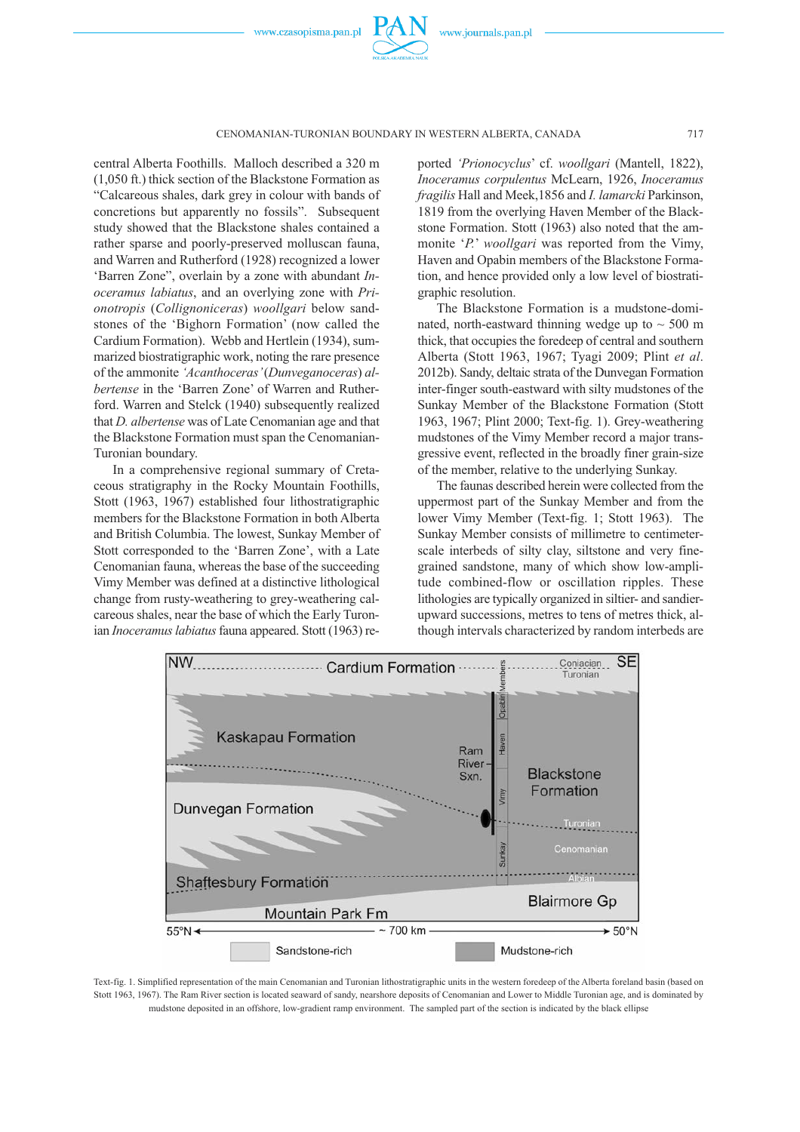

CENOMANIAN-TURONIAN BOUNDARY IN WESTERN ALBERTA, CANADA 717

central Alberta Foothills. Malloch described a 320 m (1,050 ft.) thick section of the Blackstone Formation as "Calcareous shales, dark grey in colour with bands of concretions but apparently no fossils". Subsequent study showed that the Blackstone shales contained a rather sparse and poorly-preserved molluscan fauna, and Warren and Rutherford (1928) recognized a lower 'Barren Zone", overlain by a zone with abundant *Inoceramus labiatus*, and an overlying zone with *Prionotropis* (*Collignoniceras*) *woollgari* below sandstones of the 'Bighorn Formation' (now called the Cardium Formation). Webb and Hertlein (1934), summarized biostratigraphic work, noting the rare presence of the ammonite *'Acanthoceras'* (*Dunveganoceras*) *albertense* in the 'Barren Zone' of Warren and Rutherford. Warren and Stelck (1940) subsequently realized that *D. albertense* was of Late Cenomanian age and that the Blackstone Formation must span the Cenomanian-Turonian boundary.

In a comprehensive regional summary of Cretaceous stratigraphy in the Rocky Mountain Foothills, Stott (1963, 1967) established four lithostratigraphic members for the Blackstone Formation in both Alberta and British Columbia. The lowest, Sunkay Member of Stott corresponded to the 'Barren Zone', with a Late Cenomanian fauna, whereas the base of the succeeding Vimy Member was defined at a distinctive lithological change from rusty-weathering to grey-weathering calcareous shales, near the base of which the Early Turonian *Inoceramus labiatus*fauna appeared. Stott (1963) reported *'Prionocyclus*' cf. *woollgari* (Mantell, 1822), *Inoceramus corpulentus* McLearn, 1926, *Inoceramus fragilis* Hall and Meek,1856 and *I. lamarcki* Parkinson, 1819 from the overlying Haven Member of the Blackstone Formation. Stott (1963) also noted that the ammonite '*P*.' *woollgari* was reported from the Vimy, Haven and Opabin members of the Blackstone Formation, and hence provided only a low level of biostratigraphic resolution.

The Blackstone Formation is a mudstone-dominated, north-eastward thinning wedge up to  $\sim$  500 m thick, that occupies the foredeep of central and southern Alberta (Stott 1963, 1967; Tyagi 2009; Plint *et al*. 2012b). Sandy, deltaic strata of the Dunvegan Formation inter-finger south-eastward with silty mudstones of the Sunkay Member of the Blackstone Formation (Stott 1963, 1967; Plint 2000; Text-fig. 1). Grey-weathering mudstones of the Vimy Member record a major transgressive event, reflected in the broadly finer grain-size of the member, relative to the underlying Sunkay.

The faunas described herein were collected from the uppermost part of the Sunkay Member and from the lower Vimy Member (Text-fig. 1; Stott 1963). The Sunkay Member consists of millimetre to centimeterscale interbeds of silty clay, siltstone and very finegrained sandstone, many of which show low-amplitude combined-flow or oscillation ripples. These lithologies are typically organized in siltier- and sandierupward successions, metres to tens of metres thick, although intervals characterized by random interbeds are



Text-fig. 1. Simplified representation of the main Cenomanian and Turonian lithostratigraphic units in the western foredeep of the Alberta foreland basin (based on Stott 1963, 1967). The Ram River section is located seaward of sandy, nearshore deposits of Cenomanian and Lower to Middle Turonian age, and is dominated by mudstone deposited in an offshore, low-gradient ramp environment. The sampled part of the section is indicated by the black ellipse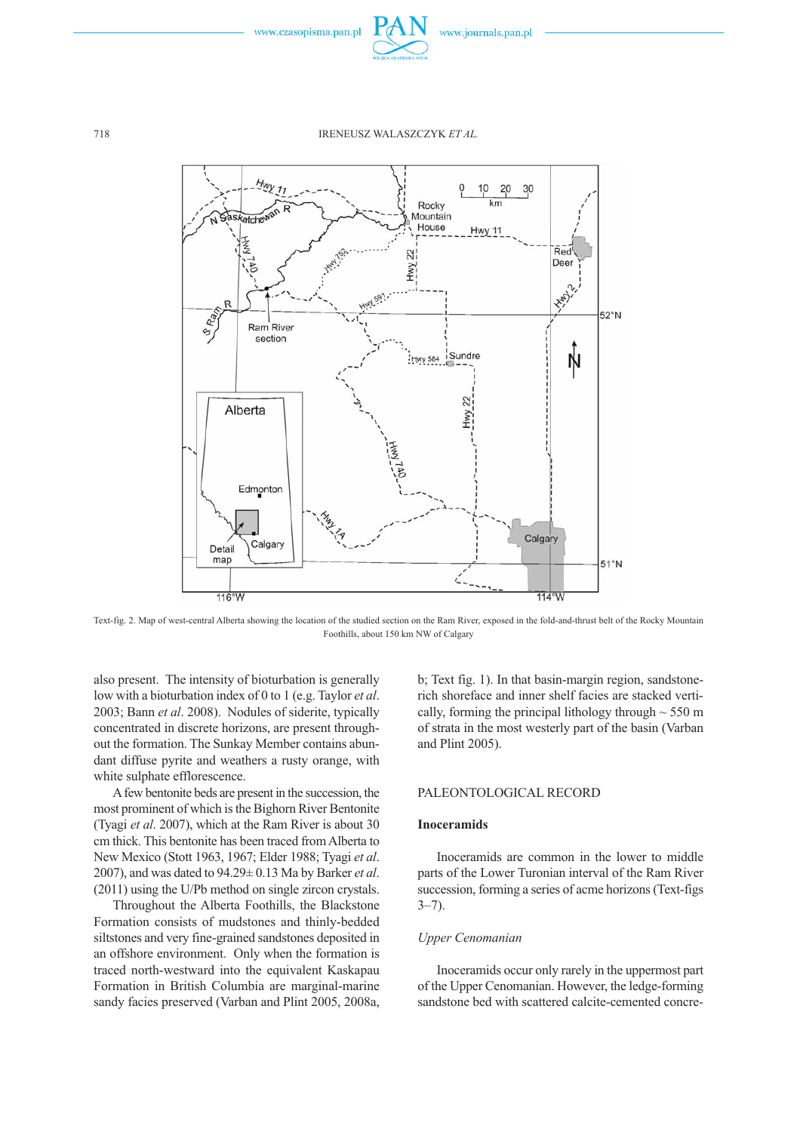



Text-fig. 2. Map of west-central Alberta showing the location of the studied section on the Ram River, exposed in the fold-and-thrust belt of the Rocky Mountain Foothills, about 150 km NW of Calgary

also present. The intensity of bioturbation is generally low with a bioturbation index of 0 to 1 (e.g. Taylor *et al*. 2003; Bann *et al*. 2008). Nodules of siderite, typically concentrated in discrete horizons, are present throughout the formation. The Sunkay Member contains abundant diffuse pyrite and weathers a rusty orange, with white sulphate efflorescence.

A few bentonite beds are present in the succession, the most prominent of which is the Bighorn River Bentonite (Tyagi *et al*. 2007), which at the Ram River is about 30 cm thick. This bentonite has been traced from Alberta to New Mexico (Stott 1963, 1967; Elder 1988; Tyagi *et al*. 2007), and was dated to 94.29± 0.13 Ma by Barker *et al*. (2011) using the U/Pb method on single zircon crystals.

Throughout the Alberta Foothills, the Blackstone Formation consists of mudstones and thinly-bedded siltstones and very fine-grained sandstones deposited in an offshore environment. Only when the formation is traced north-westward into the equivalent Kaskapau Formation in British Columbia are marginal-marine sandy facies preserved (Varban and Plint 2005, 2008a, b; Text fig. 1). In that basin-margin region, sandstonerich shoreface and inner shelf facies are stacked vertically, forming the principal lithology through  $\sim$  550 m of strata in the most westerly part of the basin (Varban and Plint 2005).

# PALEONTOLOGICAL RECORD

# **Inoceramids**

Inoceramids are common in the lower to middle parts of the Lower Turonian interval of the Ram River succession, forming a series of acme horizons (Text-figs  $3-7)$ .

# *Upper Cenomanian*

Inoceramids occur only rarely in the uppermost part of the Upper Cenomanian. However, the ledge-forming sandstone bed with scattered calcite-cemented concre-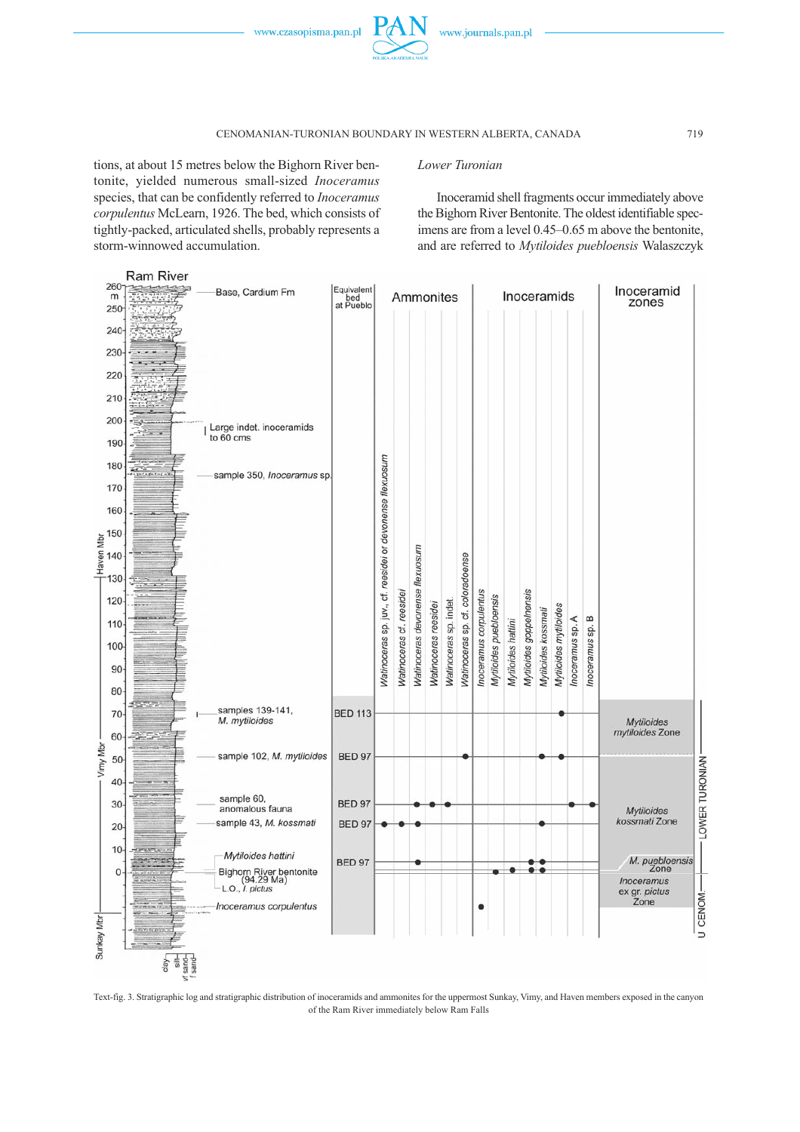tions, at about 15 metres below the Bighorn River bentonite, yielded numerous small-sized *Inoceramus* species, that can be confidently referred to *Inoceramus corpulentus* McLearn, 1926. The bed, which consists of tightly-packed, articulated shells, probably represents a storm-winnowed accumulation.

# *Lower Turonian*

Inoceramid shell fragments occur immediately above the Bighorn River Bentonite. The oldest identifiable specimens are from a level 0.45–0.65 m above the bentonite, and are referred to *Mytiloides puebloensis* Walaszczyk



Text-fig. 3. Stratigraphic log and stratigraphic distribution of inoceramids and ammonites for the uppermost Sunkay, Vimy, and Haven members exposed in the canyon of the Ram River immediately below Ram Falls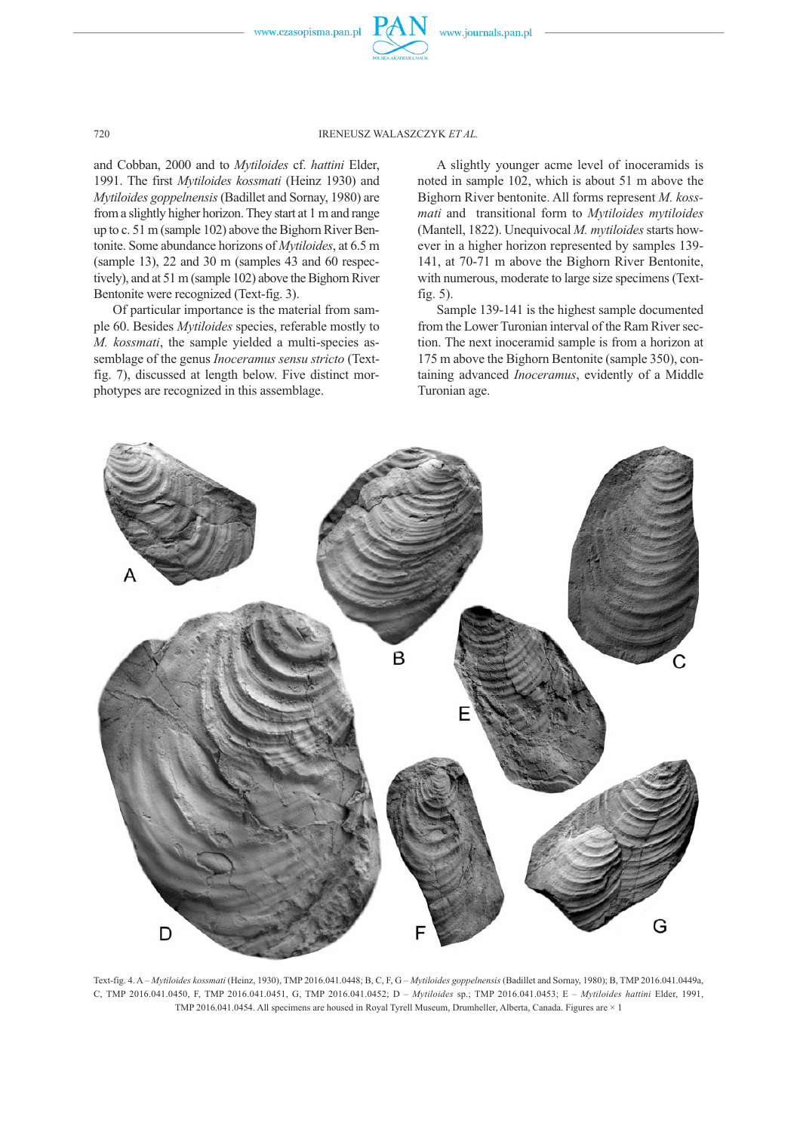

and Cobban, 2000 and to *Mytiloides* cf. *hattini* Elder, 1991. The first *Mytiloides kossmati* (Heinz 1930) and *Mytiloides goppelnensis*(Badillet and Sornay, 1980) are from a slightly higher horizon. They start at 1 m and range up to c. 51 m (sample 102) above the Bighorn River Bentonite. Some abundance horizons of *Mytiloides*, at 6.5 m (sample 13), 22 and 30 m (samples 43 and 60 respectively), and at 51 m (sample 102) above the Bighorn River Bentonite were recognized (Text-fig. 3).

Of particular importance is the material from sample 60. Besides *Mytiloides* species, referable mostly to *M. kossmati*, the sample yielded a multi-species assemblage of the genus *Inoceramus sensu stricto* (Textfig. 7), discussed at length below. Five distinct morphotypes are recognized in this assemblage.

A slightly younger acme level of inoceramids is noted in sample 102, which is about 51 m above the Bighorn River bentonite. All forms represent *M. kossmati* and transitional form to *Mytiloides mytiloides* (Mantell, 1822). Unequivocal *M. mytiloides* starts however in a higher horizon represented by samples 139- 141, at 70-71 m above the Bighorn River Bentonite, with numerous, moderate to large size specimens (Textfig. 5).

Sample 139-141 is the highest sample documented from the Lower Turonian interval of the Ram River section. The next inoceramid sample is from a horizon at 175 m above the Bighorn Bentonite (sample 350), containing advanced *Inoceramus*, evidently of a Middle Turonian age.



Text-fig. 4. A – *Mytiloides kossmati* (Heinz, 1930), TMP 2016.041.0448; B, C, F, G – *Mytiloides goppelnensis* (Badillet and Sornay, 1980); B, TMP 2016.041.0449a, C, TMP 2016.041.0450, F, TMP 2016.041.0451, G, TMP 2016.041.0452; D – *Mytiloides* sp.; TMP 2016.041.0453; E – *Mytiloides hattini* Elder, 1991, TMP 2016.041.0454. All specimens are housed in Royal Tyrell Museum, Drumheller, Alberta, Canada. Figures are × 1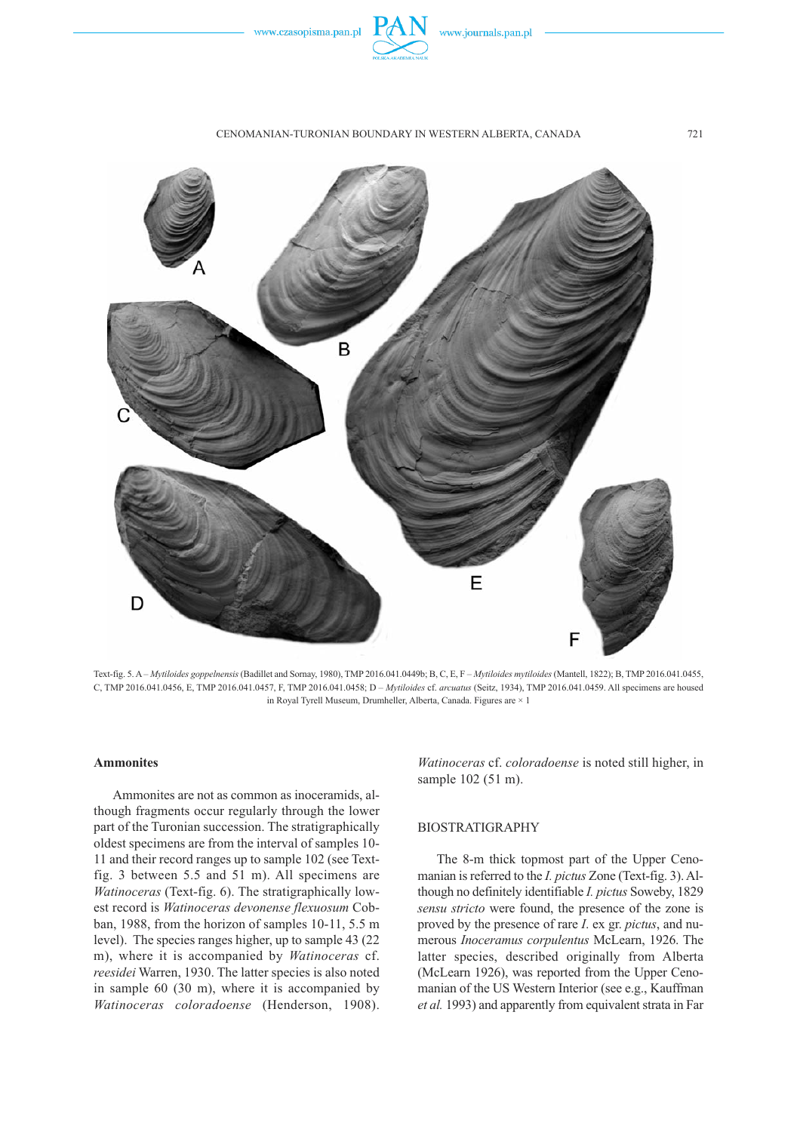

#### CENOMANIAN-TURONIAN BOUNDARY IN WESTERN ALBERTA, CANADA 721



Text-fig. 5. A – *Mytiloides goppelnensis* (Badillet and Sornay, 1980), TMP 2016.041.0449b; B, C, E, F – *Mytiloides mytiloides* (Mantell, 1822); B, TMP 2016.041.0455, C, TMP 2016.041.0456, E, TMP 2016.041.0457, F, TMP 2016.041.0458; D – *Mytiloides* cf. *arcuatus* (Seitz, 1934), TMP 2016.041.0459. All specimens are housed in Royal Tyrell Museum, Drumheller, Alberta, Canada. Figures are × 1

# **Ammonites**

Ammonites are not as common as inoceramids, although fragments occur regularly through the lower part of the Turonian succession. The stratigraphically oldest specimens are from the interval of samples 10- 11 and their record ranges up to sample 102 (see Textfig. 3 between 5.5 and 51 m). All specimens are *Watinoceras* (Text-fig. 6). The stratigraphically lowest record is *Watinoceras devonense flexuosum* Cobban, 1988, from the horizon of samples 10-11, 5.5 m level). The species ranges higher, up to sample 43 (22 m), where it is accompanied by *Watinoceras* cf. *reesidei* Warren, 1930. The latter species is also noted in sample 60 (30 m), where it is accompanied by *Watinoceras coloradoense* (Henderson, 1908).

*Watinoceras* cf. *coloradoense* is noted still higher, in sample 102 (51 m).

# BIOSTRATIGRAPHY

The 8-m thick topmost part of the Upper Cenomanian is referred to the *I. pictus* Zone (Text-fig. 3). Although no definitely identifiable *I. pictus* Soweby, 1829 *sensu stricto* were found, the presence of the zone is proved by the presence of rare *I*. ex gr. *pictus*, and numerous *Inoceramus corpulentus* McLearn, 1926. The latter species, described originally from Alberta (McLearn 1926), was reported from the Upper Cenomanian of the US Western Interior (see e.g., Kauffman *et al.* 1993) and apparently from equivalent strata in Far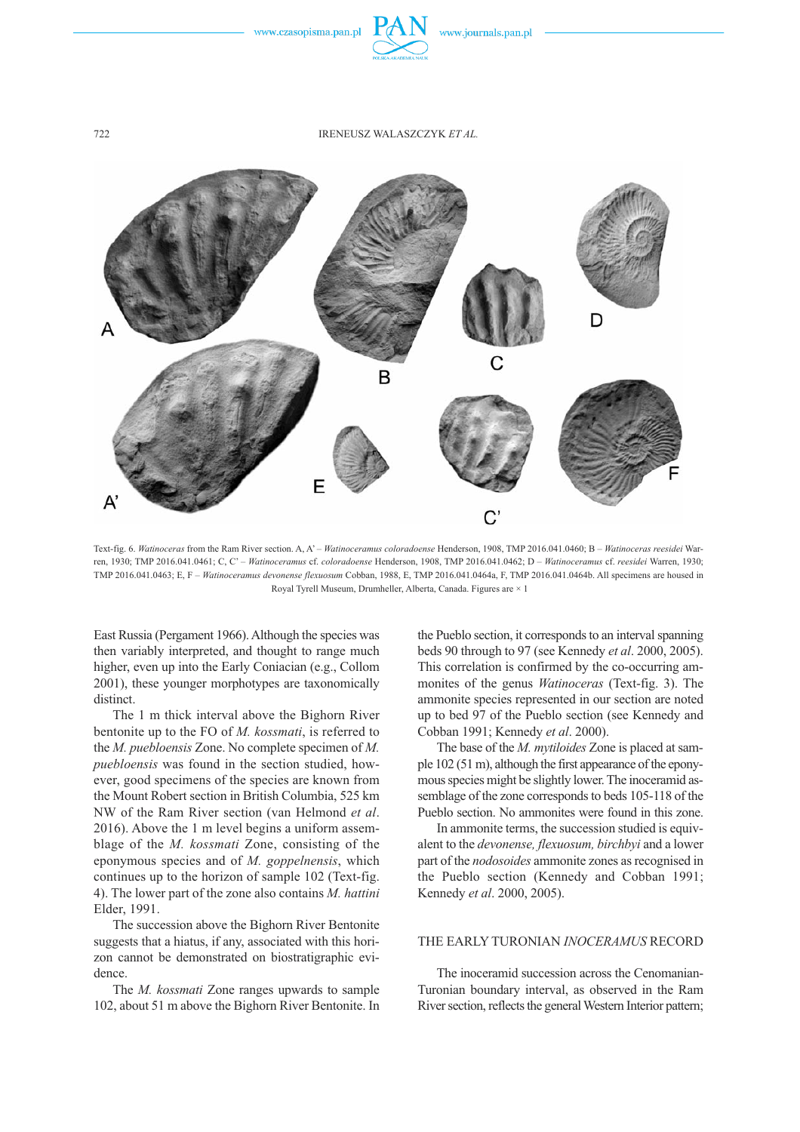

722 IRENEUSZ WALASZCZYK *ET AL.*



Text-fig. 6. *Watinoceras* from the Ram River section. A, A' – *Watinoceramus coloradoense* Henderson, 1908, TMP 2016.041.0460; B – *Watinoceras reesidei* Warren, 1930; TMP 2016.041.0461; C, C' – *Watinoceramus* cf. *coloradoense* Henderson, 1908, TMP 2016.041.0462; D – *Watinoceramus* cf. *reesidei* Warren, 1930; TMP 2016.041.0463; E, F – *Watinoceramus devonense flexuosum* Cobban, 1988, E, TMP 2016.041.0464a, F, TMP 2016.041.0464b. All specimens are housed in Royal Tyrell Museum, Drumheller, Alberta, Canada. Figures are × 1

East Russia (Pergament 1966). Although the species was then variably interpreted, and thought to range much higher, even up into the Early Coniacian (e.g., Collom 2001), these younger morphotypes are taxonomically distinct.

The 1 m thick interval above the Bighorn River bentonite up to the FO of *M. kossmati*, is referred to the *M. puebloensis* Zone. No complete specimen of *M. puebloensis* was found in the section studied, however, good specimens of the species are known from the Mount Robert section in British Columbia, 525 km NW of the Ram River section (van Helmond *et al*. 2016). Above the 1 m level begins a uniform assemblage of the *M. kossmati* Zone, consisting of the eponymous species and of *M. goppelnensis*, which continues up to the horizon of sample 102 (Text-fig. 4). The lower part of the zone also contains *M. hattini* Elder, 1991.

The succession above the Bighorn River Bentonite suggests that a hiatus, if any, associated with this horizon cannot be demonstrated on biostratigraphic evidence.

The *M. kossmati* Zone ranges upwards to sample 102, about 51 m above the Bighorn River Bentonite. In the Pueblo section, it corresponds to an interval spanning beds 90 through to 97 (see Kennedy *et al*. 2000, 2005). This correlation is confirmed by the co-occurring ammonites of the genus *Watinoceras* (Text-fig. 3). The ammonite species represented in our section are noted up to bed 97 of the Pueblo section (see Kennedy and Cobban 1991; Kennedy *et al*. 2000).

The base of the *M. mytiloides* Zone is placed at sample 102 (51 m), although the first appearance of the eponymous species might be slightly lower. The inoceramid assemblage of the zone corresponds to beds 105-118 of the Pueblo section. No ammonites were found in this zone.

In ammonite terms, the succession studied is equivalent to the *devonense, flexuosum, birchbyi* and a lower part of the *nodosoides* ammonite zones as recognised in the Pueblo section (Kennedy and Cobban 1991; Kennedy *et al*. 2000, 2005).

# THE EARLY TURONIAN *INOCERAMUS* RECORD

The inoceramid succession across the Cenomanian-Turonian boundary interval, as observed in the Ram River section, reflects the general Western Interior pattern;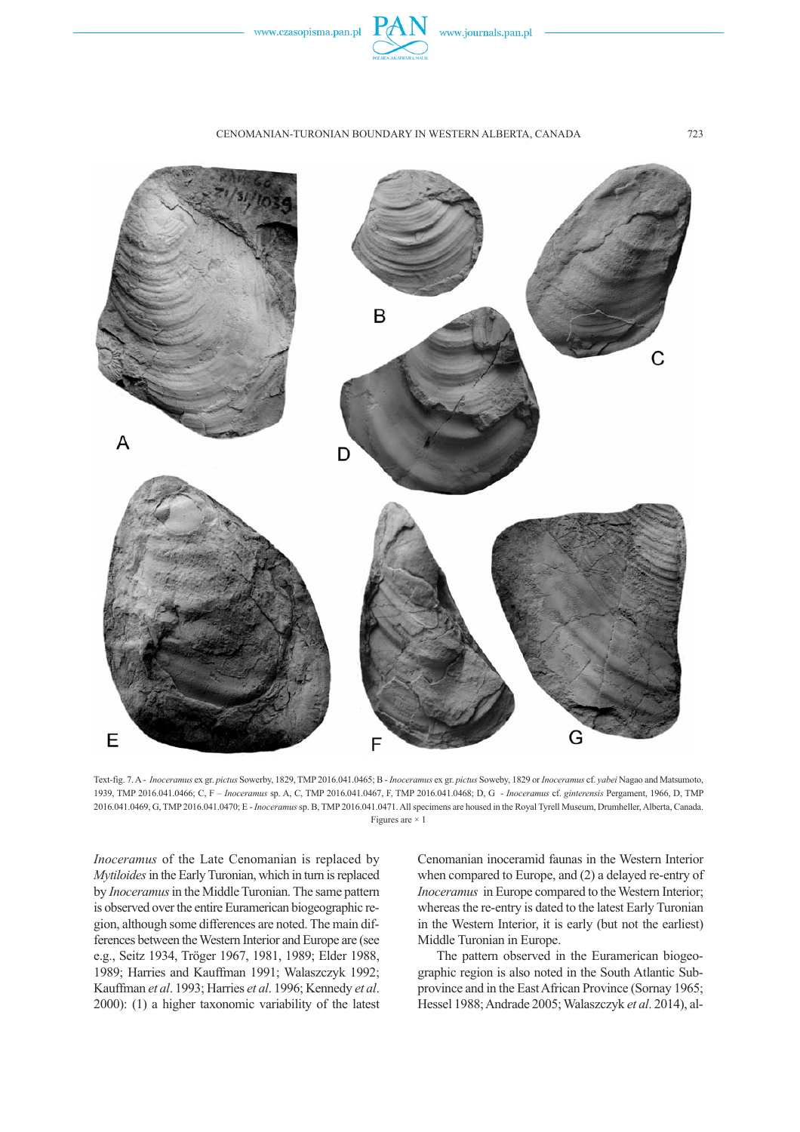

#### CENOMANIAN-TURONIAN BOUNDARY IN WESTERN ALBERTA, CANADA



Text-fig. 7. A - *Inoceramus* ex gr. *pictus* Sowerby, 1829, TMP 2016.041.0465; B - *Inoceramus* ex gr. *pictus* Soweby, 1829 or *Inoceramus* cf. *yabei* Nagao and Matsumoto, 1939, TMP 2016.041.0466; C, F – *Inoceramus* sp. A, C, TMP 2016.041.0467, F, TMP 2016.041.0468; D, G - *Inoceramus* cf. *ginterensis* Pergament, 1966, D, TMP 2016.041.0469, G, TMP 2016.041.0470; E - *Inoceramus*sp. B, TMP 2016.041.0471. All specimens are housed in the Royal Tyrell Museum, Drumheller, Alberta, Canada. Figures are  $\times$  1

*Inoceramus* of the Late Cenomanian is replaced by *Mytiloides* in the Early Turonian, which in turn is replaced by *Inoceramus* in the Middle Turonian. The same pattern is observed over the entire Euramerican biogeographic region, although some differences are noted. The main differences between the Western Interior and Europe are (see e.g., Seitz 1934, Tröger 1967, 1981, 1989; Elder 1988, 1989; Harries and Kauffman 1991; Walaszczyk 1992; Kauffman *et al*. 1993; Harries *et al*. 1996; Kennedy *et al*. 2000): (1) a higher taxonomic variability of the latest

Cenomanian inoceramid faunas in the Western Interior when compared to Europe, and (2) a delayed re-entry of *Inoceramus* in Europe compared to the Western Interior; whereas the re-entry is dated to the latest Early Turonian in the Western Interior, it is early (but not the earliest) Middle Turonian in Europe.

The pattern observed in the Euramerican biogeographic region is also noted in the South Atlantic Subprovince and in the East African Province (Sornay 1965; Hessel 1988; Andrade 2005; Walaszczyk *et al*. 2014), al-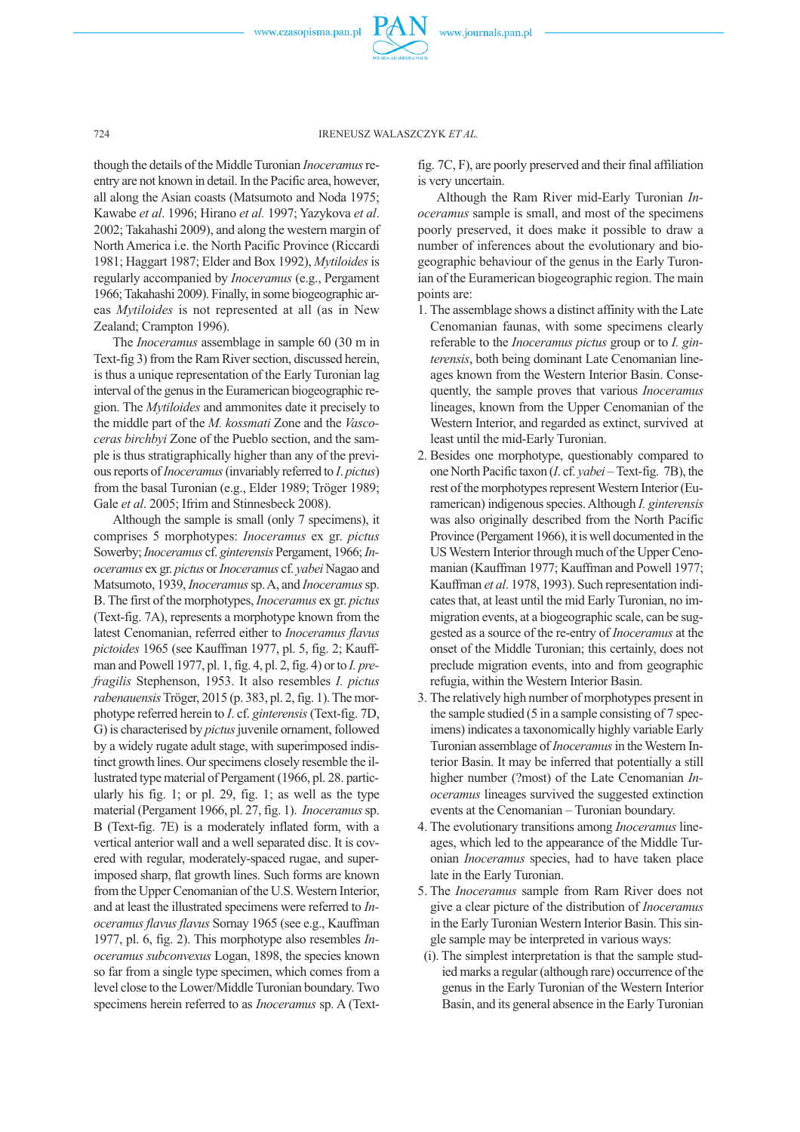

#### 724 IRENEUSZ WALASZCZYK *ET AL.*

though the details of the Middle Turonian *Inoceramus*reentry are not known in detail. In the Pacific area, however, all along the Asian coasts (Matsumoto and Noda 1975; Kawabe *et al*. 1996; Hirano *et al.* 1997; Yazykova *et al*. 2002; Takahashi 2009), and along the western margin of North America i.e. the North Pacific Province (Riccardi 1981; Haggart 1987; Elder and Box 1992), *Mytiloides*is regularly accompanied by *Inoceramus* (e.g., Pergament 1966; Takahashi 2009). Finally, in some biogeographic areas *Mytiloides* is not represented at all (as in New Zealand; Crampton 1996).

The *Inoceramus* assemblage in sample 60 (30 m in Text-fig 3) from the Ram River section, discussed herein, is thus a unique representation of the Early Turonian lag interval of the genus in the Euramerican biogeographic region. The *Mytiloides* and ammonites date it precisely to the middle part of the *M. kossmati* Zone and the *Vascoceras birchbyi* Zone of the Pueblo section, and the sample is thus stratigraphically higher than any of the previous reports of *Inoceramus* (invariably referred to *I*. *pictus*) from the basal Turonian (e.g., Elder 1989; Tröger 1989; Gale *et al.* 2005; Ifrim and Stinnesbeck 2008).

Although the sample is small (only 7 specimens), it comprises 5 morphotypes: *Inoceramus* ex gr. *pictus* Sowerby; *Inoceramus* cf. *ginterensis* Pergament, 1966; *Inoceramus* ex gr. *pictus* or *Inoceramus* cf. *yabei* Nagao and Matsumoto, 1939, *Inoceramus*sp. A, and *Inoceramus*sp. B. The first of the morphotypes, *Inoceramus* ex gr. *pictus* (Text-fig. 7A), represents a morphotype known from the latest Cenomanian, referred either to *Inoceramus flavus pictoides* 1965 (see Kauffman 1977, pl. 5, fig. 2; Kauffman and Powell 1977, pl. 1, fig. 4, pl. 2, fig. 4) or to *I. prefragilis* Stephenson, 1953. It also resembles *I. pictus rabenauensis*Tröger, 2015 (p. 383, pl. 2, fig. 1). The morphotype referred herein to *I*. cf. *ginterensis*(Text-fig. 7D, G) is characterised by *pictus* juvenile ornament, followed by a widely rugate adult stage, with superimposed indistinct growth lines. Our specimens closely resemble the illustrated type material of Pergament (1966, pl. 28. particularly his fig. 1; or pl. 29, fig. 1; as well as the type material (Pergament 1966, pl. 27, fig. 1). *Inoceramus*sp. B (Text-fig. 7E) is a moderately inflated form, with a vertical anterior wall and a well separated disc. It is covered with regular, moderately-spaced rugae, and superimposed sharp, flat growth lines. Such forms are known from the Upper Cenomanian of the U.S. Western Interior, and at least the illustrated specimens were referred to *Inoceramus flavus flavus* Sornay 1965 (see e.g., Kauffman 1977, pl. 6, fig. 2). This morphotype also resembles *Inoceramus subconvexus* Logan, 1898, the species known so far from a single type specimen, which comes from a level close to the Lower/Middle Turonian boundary. Two specimens herein referred to as *Inoceramus* sp. A (Text-

fig. 7C, F), are poorly preserved and their final affiliation is very uncertain.

Although the Ram River mid-Early Turonian *Inoceramus* sample is small, and most of the specimens poorly preserved, it does make it possible to draw a number of inferences about the evolutionary and biogeographic behaviour of the genus in the Early Turonian of the Euramerican biogeographic region. The main points are:

- 1. The assemblage shows a distinct affinity with the Late Cenomanian faunas, with some specimens clearly referable to the *Inoceramus pictus* group or to *I. ginterensis*, both being dominant Late Cenomanian lineages known from the Western Interior Basin. Consequently, the sample proves that various *Inoceramus* lineages, known from the Upper Cenomanian of the Western Interior, and regarded as extinct, survived at least until the mid-Early Turonian.
- 2. Besides one morphotype, questionably compared to one North Pacific taxon (*I*. cf. *yabei* – Text-fig. 7B), the rest of the morphotypes represent Western Interior (Euramerican) indigenous species. Although *I. ginterensis* was also originally described from the North Pacific Province (Pergament 1966), it is well documented in the US Western Interior through much of the Upper Cenomanian (Kauffman 1977; Kauffman and Powell 1977; Kauffman *et al*. 1978, 1993). Such representation indicates that, at least until the mid Early Turonian, no immigration events, at a biogeographic scale, can be suggested as a source of the re-entry of *Inoceramus* at the onset of the Middle Turonian; this certainly, does not preclude migration events, into and from geographic refugia, within the Western Interior Basin.
- 3. The relatively high number of morphotypes present in the sample studied (5 in a sample consisting of 7 specimens) indicates a taxonomically highly variable Early Turonian assemblage of *Inoceramus*in the Western Interior Basin. It may be inferred that potentially a still higher number (?most) of the Late Cenomanian *Inoceramus* lineages survived the suggested extinction events at the Cenomanian – Turonian boundary.
- 4. The evolutionary transitions among *Inoceramus* lineages, which led to the appearance of the Middle Turonian *Inoceramus* species, had to have taken place late in the Early Turonian.
- 5. The *Inoceramus* sample from Ram River does not give a clear picture of the distribution of *Inoceramus* in the Early Turonian Western Interior Basin. This single sample may be interpreted in various ways:
	- (i). The simplest interpretation is that the sample studied marks a regular (although rare) occurrence of the genus in the Early Turonian of the Western Interior Basin, and its general absence in the Early Turonian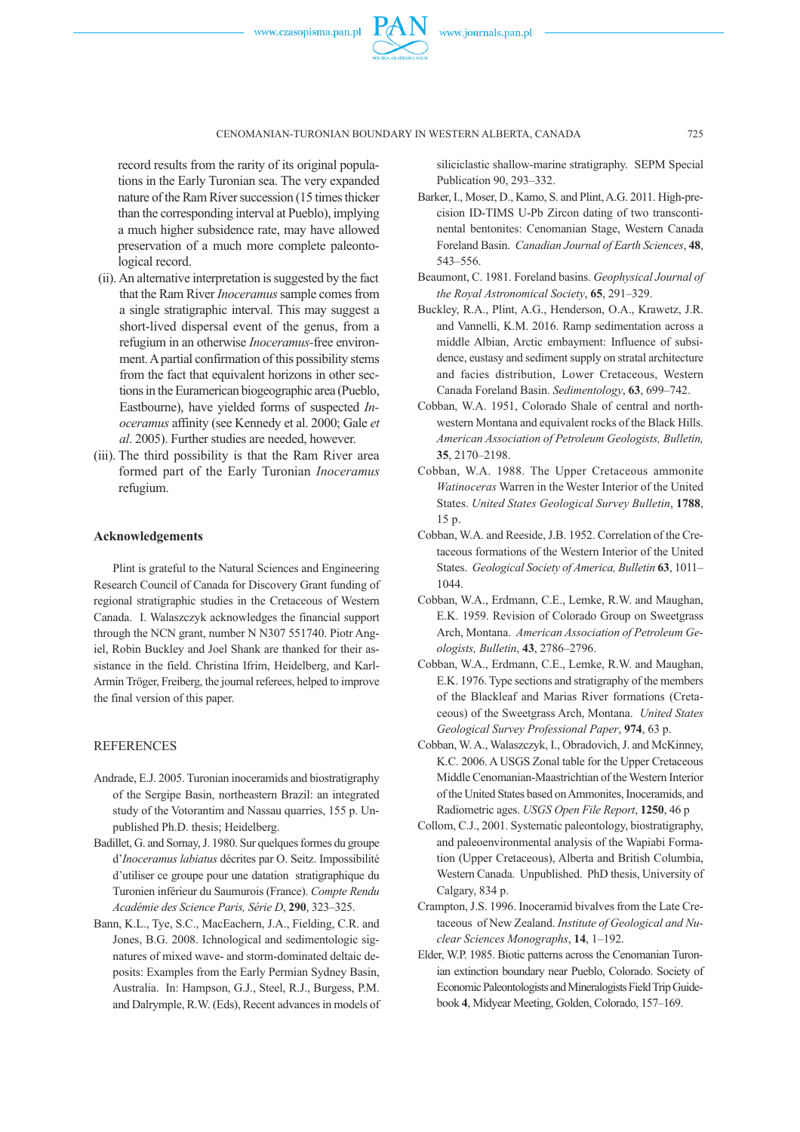

#### CENOMANIAN-TURONIAN BOUNDARY IN WESTERN ALBERTA, CANADA 725

record results from the rarity of its original populations in the Early Turonian sea. The very expanded nature of the Ram River succession (15 times thicker than the corresponding interval at Pueblo), implying a much higher subsidence rate, may have allowed preservation of a much more complete paleontological record.

- (ii). An alternative interpretation is suggested by the fact that the Ram River *Inoceramus* sample comes from a single stratigraphic interval. This may suggest a short-lived dispersal event of the genus, from a refugium in an otherwise *Inoceramus-*free environment. A partial confirmation of this possibility stems from the fact that equivalent horizons in other sections in the Euramerican biogeographic area (Pueblo, Eastbourne), have yielded forms of suspected *Inoceramus* affinity (see Kennedy et al. 2000; Gale *et al*. 2005). Further studies are needed, however.
- (iii). The third possibility is that the Ram River area formed part of the Early Turonian *Inoceramus* refugium.

# **Acknowledgements**

Plint is grateful to the Natural Sciences and Engineering Research Council of Canada for Discovery Grant funding of regional stratigraphic studies in the Cretaceous of Western Canada. I. Walaszczyk acknowledges the financial support through the NCN grant, number N N307 551740. Piotr Angiel, Robin Buckley and Joel Shank are thanked for their assistance in the field. Christina Ifrim, Heidelberg, and Karl-Armin Tröger, Freiberg, the journal referees, helped to improve the final version of this paper.

# **REFERENCES**

- Andrade, E.J. 2005. Turonian inoceramids and biostratigraphy of the Sergipe Basin, northeastern Brazil: an integrated study of the Votorantim and Nassau quarries, 155 p. Unpublished Ph.D. thesis; Heidelberg.
- Badillet, G. and Sornay, J. 1980. Sur quelques formes du groupe d'*Inoceramus labiatus* décrites par O. Seitz. Impossibilité d'utiliser ce groupe pour une datation stratigraphique du Turonien inférieur du Saumurois (France). *Compte Rendu Académie des Science Paris, Série D*, **290**, 323–325.
- Bann, K.L., Tye, S.C., MacEachern, J.A., Fielding, C.R. and Jones, B.G. 2008. Ichnological and sedimentologic signatures of mixed wave- and storm-dominated deltaic deposits: Examples from the Early Permian Sydney Basin, Australia. In: Hampson, G.J., Steel, R.J., Burgess, P.M. and Dalrymple, R.W. (Eds), Recent advances in models of

siliciclastic shallow-marine stratigraphy. SEPM Special Publication 90, 293–332.

- Barker, I., Moser, D., Kamo, S. and Plint, A.G. 2011. High-precision ID-TIMS U-Pb Zircon dating of two transcontinental bentonites: Cenomanian Stage, Western Canada Foreland Basin. *Canadian Journal of Earth Sciences*, **48**, 543–556.
- Beaumont, C. 1981. Foreland basins. *Geophysical Journal of the Royal Astronomical Society*, **65**, 291–329.
- Buckley, R.A., Plint, A.G., Henderson, O.A., Krawetz, J.R. and Vannelli, K.M. 2016. Ramp sedimentation across a middle Albian, Arctic embayment: Influence of subsidence, eustasy and sediment supply on stratal architecture and facies distribution, Lower Cretaceous, Western Canada Foreland Basin. *Sedimentology*, **63**, 699–742.
- Cobban, W.A. 1951, Colorado Shale of central and northwestern Montana and equivalent rocks of the Black Hills. *American Association of Petroleum Geologists, Bulletin,* **35**, 2170–2198.
- Cobban, W.A. 1988. The Upper Cretaceous ammonite *Watinoceras* Warren in the Wester Interior of the United States. *United States Geological Survey Bulletin*, **1788**, 15 p.
- Cobban, W.A. and Reeside, J.B. 1952. Correlation of the Cretaceous formations of the Western Interior of the United States. *Geological Society of America, Bulletin* **63**, 1011– 1044.
- Cobban, W.A., Erdmann, C.E., Lemke, R.W. and Maughan, E.K. 1959. Revision of Colorado Group on Sweetgrass Arch, Montana. *American Association of Petroleum Geologists, Bulletin*, **43**, 2786–2796.
- Cobban, W.A., Erdmann, C.E., Lemke, R.W. and Maughan, E.K. 1976. Type sections and stratigraphy of the members of the Blackleaf and Marias River formations (Cretaceous) of the Sweetgrass Arch, Montana. *United States Geological Survey Professional Paper*, **974**, 63 p.
- Cobban, W. A., Walaszczyk, I., Obradovich, J. and McKinney, K.C. 2006. A USGS Zonal table for the Upper Cretaceous Middle Cenomanian-Maastrichtian of the Western Interior of the United States based on Ammonites, Inoceramids, and Radiometric ages. *USGS Open File Report*, **1250**, 46 p
- Collom, C.J., 2001. Systematic paleontology, biostratigraphy, and paleoenvironmental analysis of the Wapiabi Formation (Upper Cretaceous), Alberta and British Columbia, Western Canada. Unpublished. PhD thesis, University of Calgary, 834 p.
- Crampton, J.S. 1996. Inoceramid bivalves from the Late Cretaceous of New Zealand. *Institute of Geological and Nuclear Sciences Monographs*, **14**, 1–192.
- Elder, W.P. 1985. Biotic patterns across the Cenomanian Turonian extinction boundary near Pueblo, Colorado. Society of Economic Paleontologists and Mineralogists Field Trip Guidebook **4**, Midyear Meeting, Golden, Colorado, 157–169.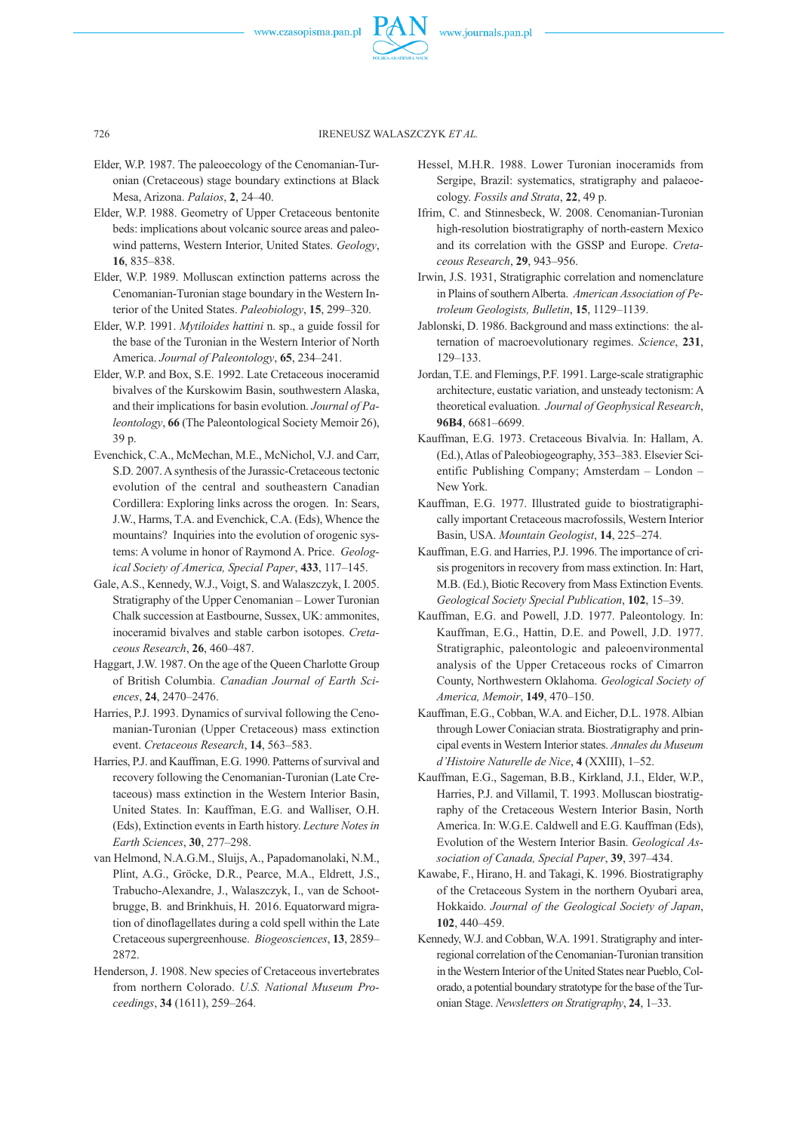

726 IRENEUSZ WALASZCZYK *ET AL.*

- Elder, W.P. 1987. The paleoecology of the Cenomanian-Turonian (Cretaceous) stage boundary extinctions at Black Mesa, Arizona. *Palaios*, **2**, 24–40.
- Elder, W.P. 1988. Geometry of Upper Cretaceous bentonite beds: implications about volcanic source areas and paleowind patterns, Western Interior, United States. *Geology*, **16**, 835–838.
- Elder, W.P. 1989. Molluscan extinction patterns across the Cenomanian-Turonian stage boundary in the Western Interior of the United States. *Paleobiology*, **15**, 299–320.
- Elder, W.P. 1991. *Mytiloides hattini* n. sp., a guide fossil for the base of the Turonian in the Western Interior of North America. *Journal of Paleontology*, **65**, 234–241.
- Elder, W.P. and Box, S.E. 1992. Late Cretaceous inoceramid bivalves of the Kurskowim Basin, southwestern Alaska, and their implications for basin evolution. *Journal of Paleontology*, **66** (The Paleontological Society Memoir 26), 39 p.
- Evenchick, C.A., McMechan, M.E., McNichol, V.J. and Carr, S.D. 2007. A synthesis of the Jurassic-Cretaceous tectonic evolution of the central and southeastern Canadian Cordillera: Exploring links across the orogen. In: Sears, J.W., Harms, T.A. and Evenchick, C.A. (Eds), Whence the mountains? Inquiries into the evolution of orogenic systems: A volume in honor of Raymond A. Price. *Geological Society of America, Special Paper*, **433**, 117–145.
- Gale, A.S., Kennedy, W.J., Voigt, S. and Walaszczyk, I. 2005. Stratigraphy of the Upper Cenomanian – Lower Turonian Chalk succession at Eastbourne, Sussex, UK: ammonites, inoceramid bivalves and stable carbon isotopes. *Cretaceous Research*, **26**, 460–487.
- Haggart, J.W. 1987. On the age of the Queen Charlotte Group of British Columbia. *Canadian Journal of Earth Sciences*, **24**, 2470–2476.
- Harries, P.J. 1993. Dynamics of survival following the Cenomanian-Turonian (Upper Cretaceous) mass extinction event. *Cretaceous Research*, **14**, 563–583.
- Harries, P.J. and Kauffman, E.G. 1990. Patterns of survival and recovery following the Cenomanian-Turonian (Late Cretaceous) mass extinction in the Western Interior Basin, United States. In: Kauffman, E.G. and Walliser, O.H. (Eds), Extinction events in Earth history. *Lecture Notes in Earth Sciences*, **30**, 277–298.
- van Helmond, N.A.G.M., Sluijs, A., Papadomanolaki, N.M., Plint, A.G., Gröcke, D.R., Pearce, M.A., Eldrett, J.S., Trabucho-Alexandre, J., Walaszczyk, I., van de Schootbrugge, B. and Brinkhuis, H. 2016. Equatorward migration of dinoflagellates during a cold spell within the Late Cretaceous supergreenhouse. *Biogeosciences*, **13**, 2859– 2872.
- Henderson, J. 1908. New species of Cretaceous invertebrates from northern Colorado. *U.S. National Museum Proceedings*, **34** (1611), 259–264.
- Hessel, M.H.R. 1988. Lower Turonian inoceramids from Sergipe, Brazil: systematics, stratigraphy and palaeoecology. *Fossils and Strata*, **22**, 49 p.
- Ifrim, C. and Stinnesbeck, W. 2008. Cenomanian-Turonian high-resolution biostratigraphy of north-eastern Mexico and its correlation with the GSSP and Europe. *Cretaceous Research*, **29**, 943–956.
- Irwin, J.S. 1931, Stratigraphic correlation and nomenclature in Plains of southern Alberta. *American Association of Petroleum Geologists, Bulletin*, **15**, 1129–1139.
- Jablonski, D. 1986. Background and mass extinctions: the alternation of macroevolutionary regimes. *Science*, **231**, 129–133.
- Jordan, T.E. and Flemings, P.F. 1991. Large-scale stratigraphic architecture, eustatic variation, and unsteady tectonism: A theoretical evaluation. *Journal of Geophysical Research*, **96B4**, 6681–6699.
- Kauffman, E.G. 1973. Cretaceous Bivalvia. In: Hallam, A. (Ed.), Atlas of Paleobiogeography, 353–383. Elsevier Scientific Publishing Company; Amsterdam – London – New York.
- Kauffman, E.G. 1977. Illustrated guide to biostratigraphically important Cretaceous macrofossils, Western Interior Basin, USA. *Mountain Geologist*, **14**, 225–274.
- Kauffman, E.G. and Harries, P.J. 1996. The importance of crisis progenitors in recovery from mass extinction. In: Hart, M.B. (Ed.), Biotic Recovery from Mass Extinction Events. *Geological Society Special Publication*, **102**, 15–39.
- Kauffman, E.G. and Powell, J.D. 1977. Paleontology. In: Kauffman, E.G., Hattin, D.E. and Powell, J.D. 1977. Stratigraphic, paleontologic and paleoenvironmental analysis of the Upper Cretaceous rocks of Cimarron County, Northwestern Oklahoma. *Geological Society of America, Memoir*, **149**, 470–150.
- Kauffman, E.G., Cobban, W.A. and Eicher, D.L. 1978. Albian through Lower Coniacian strata. Biostratigraphy and principal events in Western Interior states. *Annales du Museum d'Histoire Naturelle de Nice*, **4** (XXIII), 1–52.
- Kauffman, E.G., Sageman, B.B., Kirkland, J.I., Elder, W.P., Harries, P.J. and Villamil, T. 1993. Molluscan biostratigraphy of the Cretaceous Western Interior Basin, North America. In: W.G.E. Caldwell and E.G. Kauffman (Eds), Evolution of the Western Interior Basin. *Geological Association of Canada, Special Paper*, **39**, 397–434.
- Kawabe, F., Hirano, H. and Takagi, K. 1996. Biostratigraphy of the Cretaceous System in the northern Oyubari area, Hokkaido. *Journal of the Geological Society of Japan*, **102**, 440–459.
- Kennedy, W.J. and Cobban, W.A. 1991. Stratigraphy and interregional correlation of the Cenomanian-Turonian transition in the Western Interior of the United States near Pueblo, Colorado, a potential boundary stratotype for the base of the Turonian Stage. *Newsletters on Stratigraphy*, **24**, 1–33.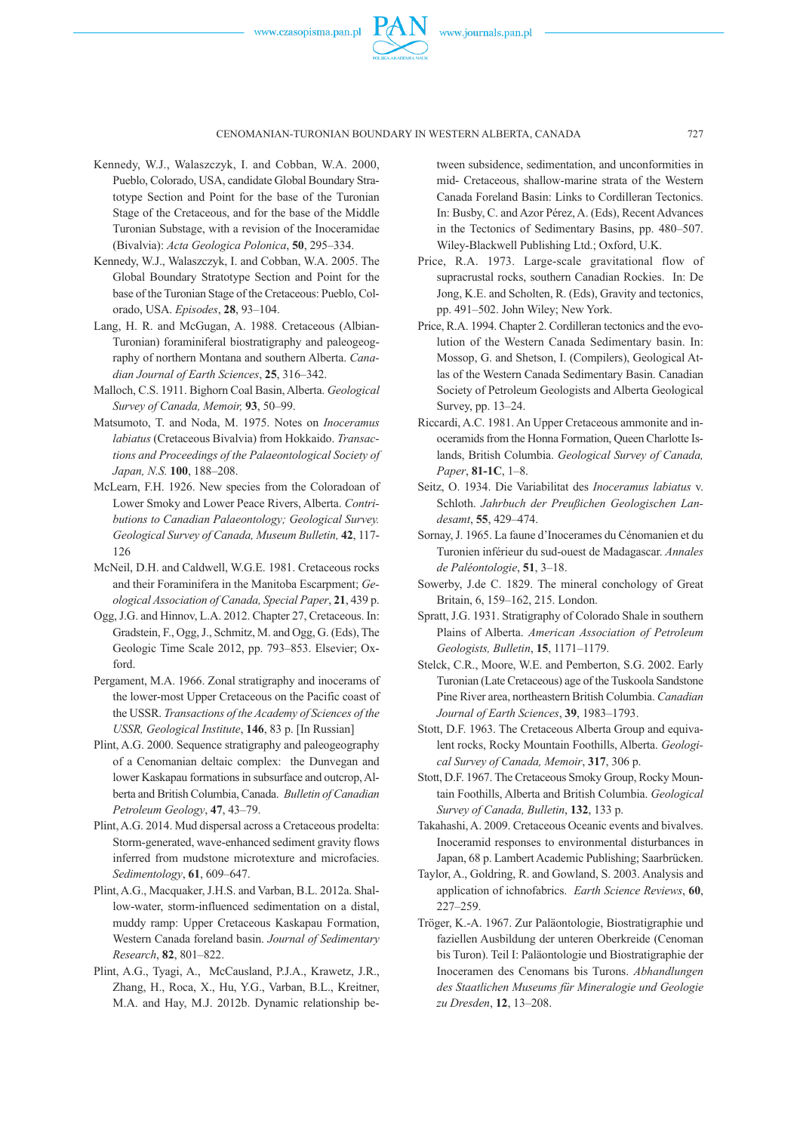

#### CENOMANIAN-TURONIAN BOUNDARY IN WESTERN ALBERTA, CANADA 727

- Kennedy, W.J., Walaszczyk, I. and Cobban, W.A. 2000, Pueblo, Colorado, USA, candidate Global Boundary Stratotype Section and Point for the base of the Turonian Stage of the Cretaceous, and for the base of the Middle Turonian Substage, with a revision of the Inoceramidae (Bivalvia): *Acta Geologica Polonica*, **50**, 295–334.
- Kennedy, W.J., Walaszczyk, I. and Cobban, W.A. 2005. The Global Boundary Stratotype Section and Point for the base of the Turonian Stage of the Cretaceous: Pueblo, Colorado, USA. *Episodes*, **28**, 93–104.
- Lang, H. R. and McGugan, A. 1988. Cretaceous (Albian-Turonian) foraminiferal biostratigraphy and paleogeography of northern Montana and southern Alberta. *Canadian Journal of Earth Sciences*, **25**, 316–342.
- Malloch, C.S. 1911. Bighorn Coal Basin, Alberta. *Geological Survey of Canada, Memoir,* **93**, 50–99.
- Matsumoto, T. and Noda, M. 1975. Notes on *Inoceramus labiatus* (Cretaceous Bivalvia) from Hokkaido. *Transactions and Proceedings of the Palaeontological Society of Japan, N.S.* **100**, 188–208.
- McLearn, F.H. 1926. New species from the Coloradoan of Lower Smoky and Lower Peace Rivers, Alberta. *Contributions to Canadian Palaeontology; Geological Survey. Geological Survey of Canada, Museum Bulletin,* **42**, 117- 126
- McNeil, D.H. and Caldwell, W.G.E. 1981. Cretaceous rocks and their Foraminifera in the Manitoba Escarpment; *Geological Association of Canada, Special Paper*, **21**, 439 p.
- Ogg, J.G. and Hinnov, L.A. 2012. Chapter 27, Cretaceous. In: Gradstein, F., Ogg, J., Schmitz, M. and Ogg, G. (Eds), The Geologic Time Scale 2012, pp. 793–853. Elsevier; Oxford.
- Pergament, M.A. 1966. Zonal stratigraphy and inocerams of the lower-most Upper Cretaceous on the Pacific coast of the USSR. *Transactions of the Academy of Sciences of the USSR, Geological Institute*, **146**, 83 p. [In Russian]
- Plint, A.G. 2000. Sequence stratigraphy and paleogeography of a Cenomanian deltaic complex: the Dunvegan and lower Kaskapau formations in subsurface and outcrop, Alberta and British Columbia, Canada. *Bulletin of Canadian Petroleum Geology*, **47**, 43–79.
- Plint, A.G. 2014. Mud dispersal across a Cretaceous prodelta: Storm-generated, wave-enhanced sediment gravity flows inferred from mudstone microtexture and microfacies. *Sedimentology*, **61**, 609–647.
- Plint, A.G., Macquaker, J.H.S. and Varban, B.L. 2012a. Shallow-water, storm-influenced sedimentation on a distal, muddy ramp: Upper Cretaceous Kaskapau Formation, Western Canada foreland basin. *Journal of Sedimentary Research*, **82**, 801–822.
- Plint, A.G., Tyagi, A., McCausland, P.J.A., Krawetz, J.R., Zhang, H., Roca, X., Hu, Y.G., Varban, B.L., Kreitner, M.A. and Hay, M.J. 2012b. Dynamic relationship be-

tween subsidence, sedimentation, and unconformities in mid- Cretaceous, shallow-marine strata of the Western Canada Foreland Basin: Links to Cordilleran Tectonics. In: Busby, C. and Azor Pérez, A. (Eds), Recent Advances in the Tectonics of Sedimentary Basins, pp. 480–507. Wiley-Blackwell Publishing Ltd.; Oxford, U.K.

- Price, R.A. 1973. Large-scale gravitational flow of supracrustal rocks, southern Canadian Rockies. In: De Jong, K.E. and Scholten, R. (Eds), Gravity and tectonics, pp. 491–502. John Wiley; New York.
- Price, R.A. 1994. Chapter 2. Cordilleran tectonics and the evolution of the Western Canada Sedimentary basin. In: Mossop, G. and Shetson, I. (Compilers), Geological Atlas of the Western Canada Sedimentary Basin. Canadian Society of Petroleum Geologists and Alberta Geological Survey, pp. 13–24.
- Riccardi, A.C. 1981. An Upper Cretaceous ammonite and inoceramids from the Honna Formation, Queen Charlotte Islands, British Columbia. *Geological Survey of Canada, Paper*, **81-1C**, 1–8.
- Seitz, O. 1934. Die Variabilitat des *Inoceramus labiatus* v. Schloth. *Jahrbuch der Preußichen Geologischen Landesamt*, **55**, 429–474.
- Sornay, J. 1965. La faune d'Inocerames du Cénomanien et du Turonien inférieur du sud-ouest de Madagascar. *Annales de Paléontologie*, **51**, 3–18.
- Sowerby, J.de C. 1829. The mineral conchology of Great Britain, 6, 159–162, 215. London.
- Spratt, J.G. 1931. Stratigraphy of Colorado Shale in southern Plains of Alberta. *American Association of Petroleum Geologists, Bulletin*, **15**, 1171–1179.
- Stelck, C.R., Moore, W.E. and Pemberton, S.G. 2002. Early Turonian (Late Cretaceous) age of the Tuskoola Sandstone Pine River area, northeastern British Columbia. *Canadian Journal of Earth Sciences*, **39**, 1983–1793.
- Stott, D.F. 1963. The Cretaceous Alberta Group and equivalent rocks, Rocky Mountain Foothills, Alberta. *Geological Survey of Canada, Memoir*, **317**, 306 p.
- Stott, D.F. 1967. The Cretaceous Smoky Group, Rocky Mountain Foothills, Alberta and British Columbia. *Geological Survey of Canada, Bulletin*, **132**, 133 p.
- Takahashi, A. 2009. Cretaceous Oceanic events and bivalves. Inoceramid responses to environmental disturbances in Japan, 68 p. Lambert Academic Publishing; Saarbrücken.
- Taylor, A., Goldring, R. and Gowland, S. 2003. Analysis and application of ichnofabrics. *Earth Science Reviews*, **60**, 227–259.
- Tröger, K.-A. 1967. Zur Paläontologie, Biostratigraphie und faziellen Ausbildung der unteren Oberkreide (Cenoman bis Turon). Teil I: Paläontologie und Biostratigraphie der Inoceramen des Cenomans bis Turons. *Abhandlungen des Staatlichen Museums für Mineralogie und Geologie zu Dresden*, **12**, 13–208.